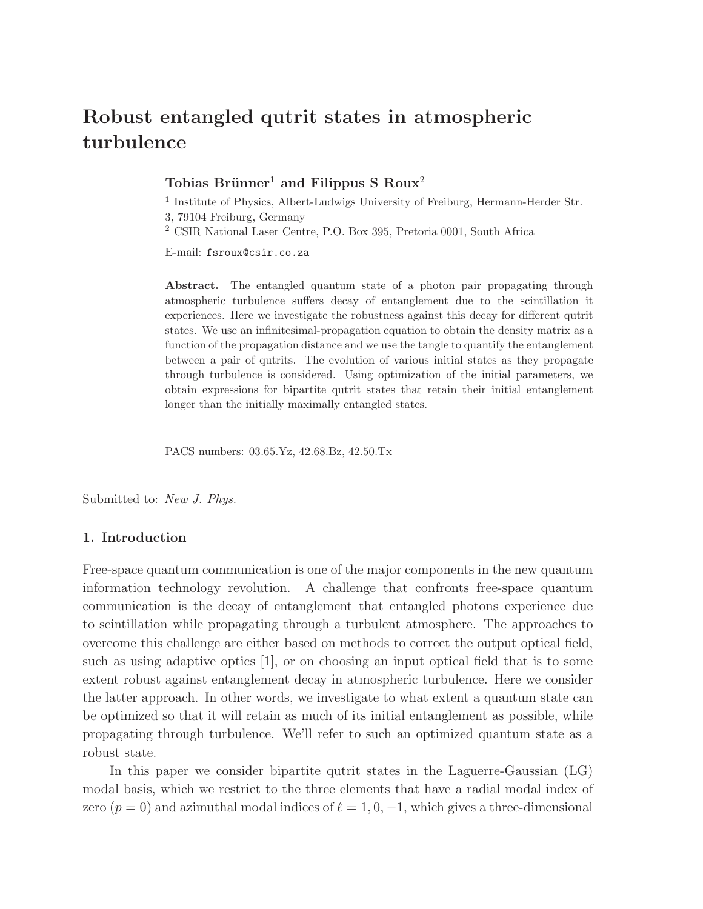# Robust entangled qutrit states in atmospheric turbulence

# Tobias Brünner<sup>1</sup> and Filippus S  $R_{\text{oux}^2}$

<sup>1</sup> Institute of Physics, Albert-Ludwigs University of Freiburg, Hermann-Herder Str. 3, 79104 Freiburg, Germany

<sup>2</sup> CSIR National Laser Centre, P.O. Box 395, Pretoria 0001, South Africa

E-mail: fsroux@csir.co.za

Abstract. The entangled quantum state of a photon pair propagating through atmospheric turbulence suffers decay of entanglement due to the scintillation it experiences. Here we investigate the robustness against this decay for different qutrit states. We use an infinitesimal-propagation equation to obtain the density matrix as a function of the propagation distance and we use the tangle to quantify the entanglement between a pair of qutrits. The evolution of various initial states as they propagate through turbulence is considered. Using optimization of the initial parameters, we obtain expressions for bipartite qutrit states that retain their initial entanglement longer than the initially maximally entangled states.

PACS numbers: 03.65.Yz, 42.68.Bz, 42.50.Tx

Submitted to: *New J. Phys.*

# 1. Introduction

Free-space quantum communication is one of the major components in the new quantum information technology revolution. A challenge that confronts free-space quantum communication is the decay of entanglement that entangled photons experience due to scintillation while propagating through a turbulent atmosphere. The approaches to overcome this challenge are either based on methods to correct the output optical field, such as using adaptive optics [1], or on choosing an input optical field that is to some extent robust against entanglement decay in atmospheric turbulence. Here we consider the latter approach. In other words, we investigate to what extent a quantum state can be optimized so that it will retain as much of its initial entanglement as possible, while propagating through turbulence. We'll refer to such an optimized quantum state as a robust state.

In this paper we consider bipartite qutrit states in the Laguerre-Gaussian (LG) modal basis, which we restrict to the three elements that have a radial modal index of zero ( $p = 0$ ) and azimuthal modal indices of  $\ell = 1, 0, -1$ , which gives a three-dimensional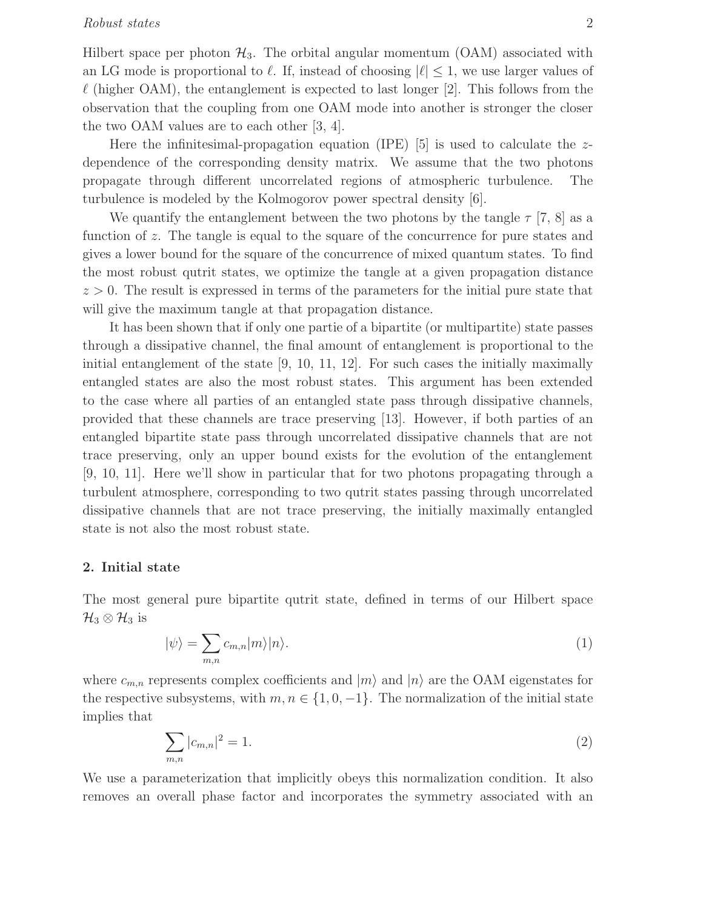## Robust states 2

Hilbert space per photon  $\mathcal{H}_3$ . The orbital angular momentum (OAM) associated with an LG mode is proportional to  $\ell$ . If, instead of choosing  $|\ell| \leq 1$ , we use larger values of  $\ell$  (higher OAM), the entanglement is expected to last longer [2]. This follows from the observation that the coupling from one OAM mode into another is stronger the closer the two OAM values are to each other [3, 4].

Here the infinitesimal-propagation equation (IPE)  $[5]$  is used to calculate the zdependence of the corresponding density matrix. We assume that the two photons propagate through different uncorrelated regions of atmospheric turbulence. The turbulence is modeled by the Kolmogorov power spectral density [6].

We quantify the entanglement between the two photons by the tangle  $\tau$  [7, 8] as a function of z. The tangle is equal to the square of the concurrence for pure states and gives a lower bound for the square of the concurrence of mixed quantum states. To find the most robust qutrit states, we optimize the tangle at a given propagation distance  $z > 0$ . The result is expressed in terms of the parameters for the initial pure state that will give the maximum tangle at that propagation distance.

It has been shown that if only one partie of a bipartite (or multipartite) state passes through a dissipative channel, the final amount of entanglement is proportional to the initial entanglement of the state [9, 10, 11, 12]. For such cases the initially maximally entangled states are also the most robust states. This argument has been extended to the case where all parties of an entangled state pass through dissipative channels, provided that these channels are trace preserving [13]. However, if both parties of an entangled bipartite state pass through uncorrelated dissipative channels that are not trace preserving, only an upper bound exists for the evolution of the entanglement [9, 10, 11]. Here we'll show in particular that for two photons propagating through a turbulent atmosphere, corresponding to two qutrit states passing through uncorrelated dissipative channels that are not trace preserving, the initially maximally entangled state is not also the most robust state.

#### 2. Initial state

The most general pure bipartite qutrit state, defined in terms of our Hilbert space  $\mathcal{H}_3 \otimes \mathcal{H}_3$  is

$$
|\psi\rangle = \sum_{m,n} c_{m,n} |m\rangle |n\rangle. \tag{1}
$$

where  $c_{m,n}$  represents complex coefficients and  $|m\rangle$  and  $|n\rangle$  are the OAM eigenstates for the respective subsystems, with  $m, n \in \{1, 0, -1\}$ . The normalization of the initial state implies that

$$
\sum_{m,n} |c_{m,n}|^2 = 1.
$$
\n(2)

We use a parameterization that implicitly obeys this normalization condition. It also removes an overall phase factor and incorporates the symmetry associated with an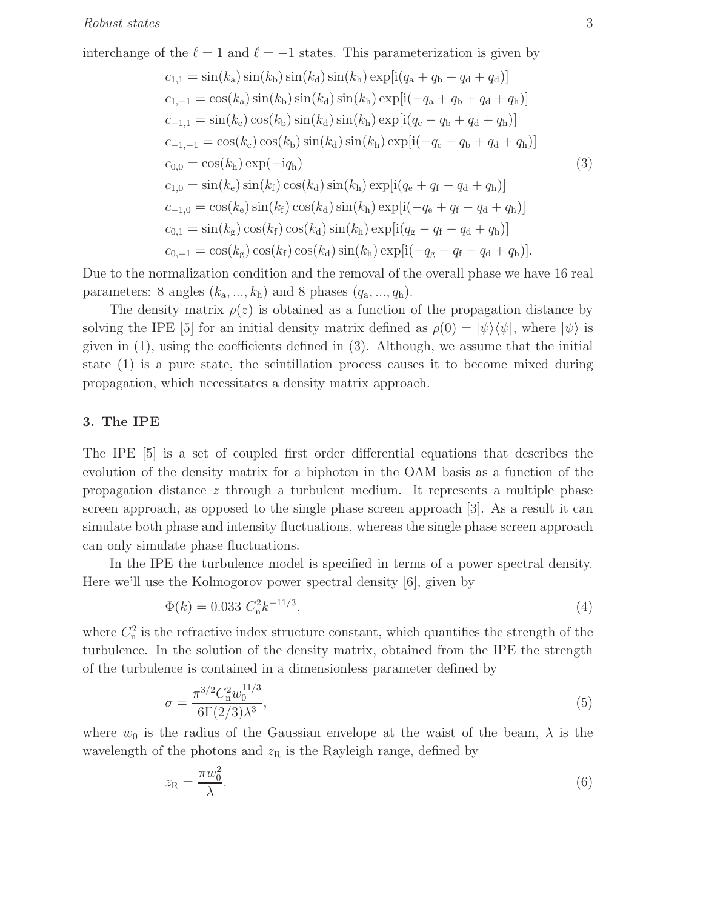interchange of the 
$$
\ell = 1
$$
 and  $\ell = -1$  states. This parameterization is given by  
\n
$$
c_{1,1} = \sin(k_a) \sin(k_b) \sin(k_d) \sin(k_h) \exp[i(q_a + q_b + q_d + q_d)]
$$
\n
$$
c_{1,-1} = \cos(k_a) \sin(k_b) \sin(k_d) \sin(k_h) \exp[i(-q_a + q_b + q_d + q_h)]
$$
\n
$$
c_{-1,1} = \sin(k_c) \cos(k_b) \sin(k_d) \sin(k_h) \exp[i(q_c - q_b + q_d + q_h)]
$$
\n
$$
c_{-1,-1} = \cos(k_c) \cos(k_b) \sin(k_d) \sin(k_h) \exp[i(-q_c - q_b + q_d + q_h)]
$$
\n
$$
c_{0,0} = \cos(k_h) \exp(-iq_h)
$$
\n
$$
c_{1,0} = \sin(k_e) \sin(k_f) \cos(k_d) \sin(k_h) \exp[i(q_e + q_f - q_d + q_h)]
$$
\n
$$
c_{-1,0} = \cos(k_e) \sin(k_f) \cos(k_d) \sin(k_h) \exp[i(-q_e + q_f - q_d + q_h)]
$$
\n
$$
c_{0,1} = \sin(k_g) \cos(k_f) \cos(k_d) \sin(k_h) \exp[i(q_g - q_f - q_d + q_h)]
$$
\n
$$
c_{0,-1} = \cos(k_g) \cos(k_f) \cos(k_d) \sin(k_h) \exp[i(-q_g - q_f - q_d + q_h)].
$$

Due to the normalization condition and the removal of the overall phase we have 16 real parameters: 8 angles  $(k_{\rm a},...,k_{\rm h})$  and 8 phases  $(q_{\rm a},...,q_{\rm h})$ .

The density matrix  $\rho(z)$  is obtained as a function of the propagation distance by solving the IPE [5] for an initial density matrix defined as  $\rho(0) = |\psi\rangle\langle\psi|$ , where  $|\psi\rangle$  is given in  $(1)$ , using the coefficients defined in  $(3)$ . Although, we assume that the initial state (1) is a pure state, the scintillation process causes it to become mixed during propagation, which necessitates a density matrix approach.

#### 3. The IPE

The IPE [5] is a set of coupled first order differential equations that describes the evolution of the density matrix for a biphoton in the OAM basis as a function of the propagation distance z through a turbulent medium. It represents a multiple phase screen approach, as opposed to the single phase screen approach [3]. As a result it can simulate both phase and intensity fluctuations, whereas the single phase screen approach can only simulate phase fluctuations.

In the IPE the turbulence model is specified in terms of a power spectral density. Here we'll use the Kolmogorov power spectral density [6], given by

$$
\Phi(k) = 0.033 \ C_{\rm n}^2 k^{-11/3},\tag{4}
$$

where  $C_n^2$  is the refractive index structure constant, which quantifies the strength of the turbulence. In the solution of the density matrix, obtained from the IPE the strength of the turbulence is contained in a dimensionless parameter defined by

$$
\sigma = \frac{\pi^{3/2} C_{\rm n}^2 w_0^{11/3}}{6\Gamma(2/3)\lambda^3},\tag{5}
$$

where  $w_0$  is the radius of the Gaussian envelope at the waist of the beam,  $\lambda$  is the wavelength of the photons and  $z_R$  is the Rayleigh range, defined by

$$
z_{\rm R} = \frac{\pi w_0^2}{\lambda}.\tag{6}
$$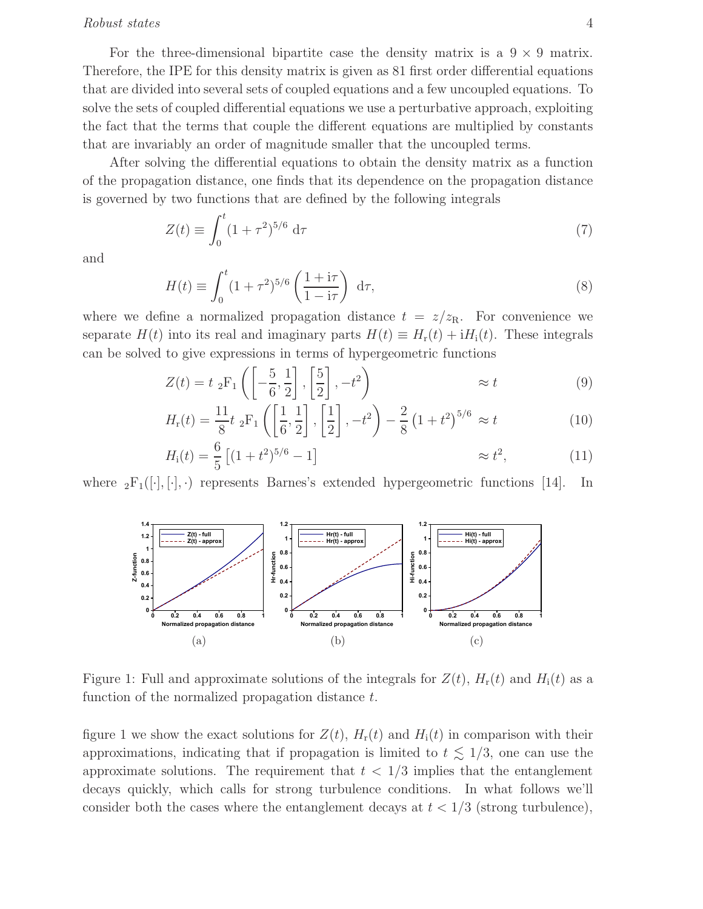#### Robust states 4

For the three-dimensional bipartite case the density matrix is a  $9 \times 9$  matrix. Therefore, the IPE for this density matrix is given as 81 first order differential equations that are divided into several sets of coupled equations and a few uncoupled equations. To solve the sets of coupled differential equations we use a perturbative approach, exploiting the fact that the terms that couple the different equations are multiplied by constants that are invariably an order of magnitude smaller that the uncoupled terms.

After solving the differential equations to obtain the density matrix as a function of the propagation distance, one finds that its dependence on the propagation distance is governed by two functions that are defined by the following integrals

$$
Z(t) \equiv \int_0^t (1+\tau^2)^{5/6} d\tau \tag{7}
$$

and

$$
H(t) \equiv \int_0^t (1+\tau^2)^{5/6} \left(\frac{1+i\tau}{1-i\tau}\right) d\tau,
$$
\n(8)

where we define a normalized propagation distance  $t = z/z_R$ . For convenience we separate  $H(t)$  into its real and imaginary parts  $H(t) \equiv H_r(t) + iH_i(t)$ . These integrals can be solved to give expressions in terms of hypergeometric functions

$$
Z(t) = t \, {}_{2}F_{1}\left(\left[-\frac{5}{6}, \frac{1}{2}\right], \left[\frac{5}{2}\right], -t^{2}\right) \approx t \tag{9}
$$

$$
H_{\rm r}(t) = \frac{11}{8} t \, {}_{2}F_{1}\left(\left[\frac{1}{6}, \frac{1}{2}\right], \left[\frac{1}{2}\right], -t^{2}\right) - \frac{2}{8} \left(1 + t^{2}\right)^{5/6} \approx t \tag{10}
$$

$$
H_{\rm i}(t) = \frac{6}{5} \left[ (1+t^2)^{5/6} - 1 \right] \qquad \qquad \approx t^2, \qquad \qquad (11)
$$

where  ${}_2F_1([\cdot], [\cdot], \cdot)$  represents Barnes's extended hypergeometric functions [14]. In



Figure 1: Full and approximate solutions of the integrals for  $Z(t)$ ,  $H_r(t)$  and  $H_i(t)$  as a function of the normalized propagation distance t.

figure 1 we show the exact solutions for  $Z(t)$ ,  $H_r(t)$  and  $H_i(t)$  in comparison with their approximations, indicating that if propagation is limited to  $t \leq 1/3$ , one can use the approximate solutions. The requirement that  $t < 1/3$  implies that the entanglement decays quickly, which calls for strong turbulence conditions. In what follows we'll consider both the cases where the entanglement decays at  $t < 1/3$  (strong turbulence),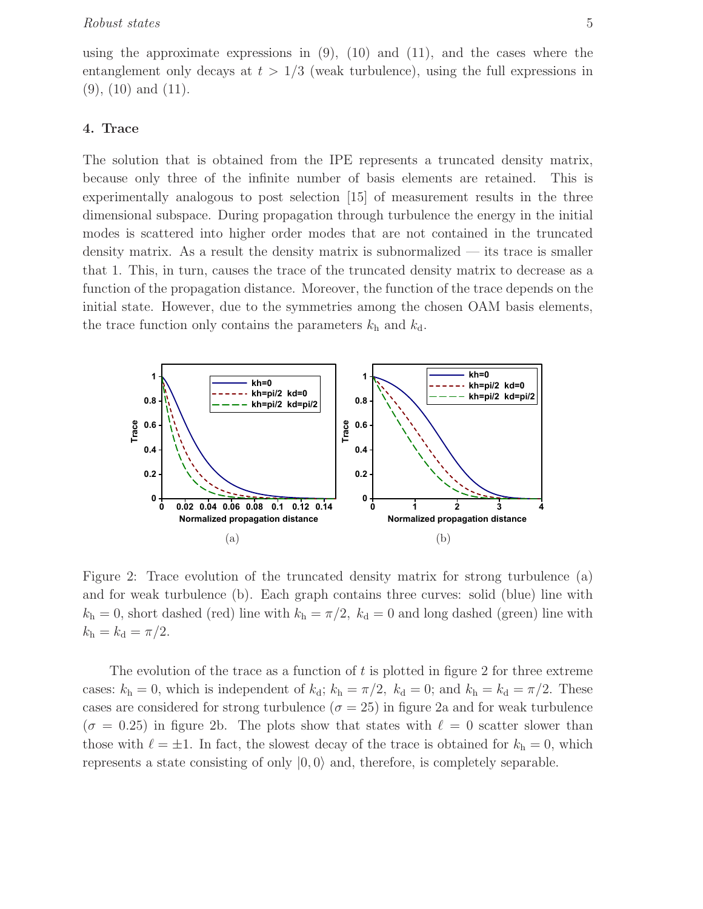using the approximate expressions in  $(9)$ ,  $(10)$  and  $(11)$ , and the cases where the entanglement only decays at  $t > 1/3$  (weak turbulence), using the full expressions in  $(9)$ ,  $(10)$  and  $(11)$ .

#### 4. Trace

The solution that is obtained from the IPE represents a truncated density matrix, because only three of the infinite number of basis elements are retained. This is experimentally analogous to post selection [15] of measurement results in the three dimensional subspace. During propagation through turbulence the energy in the initial modes is scattered into higher order modes that are not contained in the truncated density matrix. As a result the density matrix is subnormalized — its trace is smaller that 1. This, in turn, causes the trace of the truncated density matrix to decrease as a function of the propagation distance. Moreover, the function of the trace depends on the initial state. However, due to the symmetries among the chosen OAM basis elements, the trace function only contains the parameters  $k<sub>h</sub>$  and  $k<sub>d</sub>$ .



Figure 2: Trace evolution of the truncated density matrix for strong turbulence (a) and for weak turbulence (b). Each graph contains three curves: solid (blue) line with  $k_h = 0$ , short dashed (red) line with  $k_h = \pi/2$ ,  $k_d = 0$  and long dashed (green) line with  $k_{\rm h} = k_{\rm d} = \pi/2.$ 

The evolution of the trace as a function of  $t$  is plotted in figure 2 for three extreme cases:  $k_h = 0$ , which is independent of  $k_d$ ;  $k_h = \pi/2$ ,  $k_d = 0$ ; and  $k_h = k_d = \pi/2$ . These cases are considered for strong turbulence ( $\sigma = 25$ ) in figure 2a and for weak turbulence  $(\sigma = 0.25)$  in figure 2b. The plots show that states with  $\ell = 0$  scatter slower than those with  $\ell = \pm 1$ . In fact, the slowest decay of the trace is obtained for  $k_h = 0$ , which represents a state consisting of only  $|0, 0\rangle$  and, therefore, is completely separable.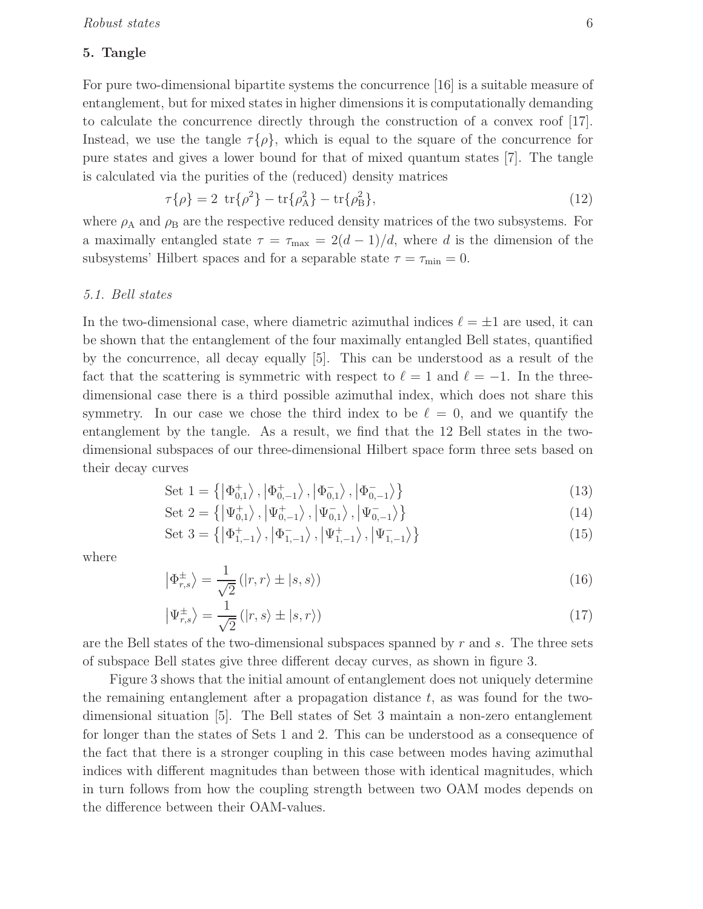#### 5. Tangle

For pure two-dimensional bipartite systems the concurrence [16] is a suitable measure of entanglement, but for mixed states in higher dimensions it is computationally demanding to calculate the concurrence directly through the construction of a convex roof [17]. Instead, we use the tangle  $\tau\{\rho\}$ , which is equal to the square of the concurrence for pure states and gives a lower bound for that of mixed quantum states [7]. The tangle is calculated via the purities of the (reduced) density matrices

$$
\tau\{\rho\} = 2 \ \text{tr}\{\rho^2\} - \text{tr}\{\rho_A^2\} - \text{tr}\{\rho_B^2\},\tag{12}
$$

where  $\rho_A$  and  $\rho_B$  are the respective reduced density matrices of the two subsystems. For a maximally entangled state  $\tau = \tau_{\text{max}} = 2(d-1)/d$ , where d is the dimension of the subsystems' Hilbert spaces and for a separable state  $\tau = \tau_{\min} = 0$ .

#### 5.1. Bell states

In the two-dimensional case, where diametric azimuthal indices  $\ell = \pm 1$  are used, it can be shown that the entanglement of the four maximally entangled Bell states, quantified by the concurrence, all decay equally [5]. This can be understood as a result of the fact that the scattering is symmetric with respect to  $\ell = 1$  and  $\ell = -1$ . In the threedimensional case there is a third possible azimuthal index, which does not share this symmetry. In our case we chose the third index to be  $\ell = 0$ , and we quantify the entanglement by the tangle. As a result, we find that the 12 Bell states in the twodimensional subspaces of our three-dimensional Hilbert space form three sets based on their decay curves

Set 
$$
1 = \left\{ \left| \Phi_{0,1}^+ \right\rangle, \left| \Phi_{0,-1}^- \right\rangle, \left| \Phi_{0,1}^- \right\rangle, \left| \Phi_{0,-1}^- \right\rangle \right\}
$$
 (13)

Set 
$$
2 = \{ |\Psi_{0,1}^{+}\rangle, |\Psi_{0,-1}^{+}\rangle, |\Psi_{0,1}^{-}\rangle, |\Psi_{0,-1}^{-}\rangle \}
$$
 (14)

Set 
$$
3 = \left\{ \left| \Phi_{1,-1}^+ \right\rangle, \left| \Phi_{1,-1}^- \right\rangle, \left| \Psi_{1,-1}^+ \right\rangle, \left| \Psi_{1,-1}^- \right\rangle \right\}
$$
 (15)

where

$$
\left| \Phi_{r,s}^{\pm} \right\rangle = \frac{1}{\sqrt{2}} \left( |r,r\rangle \pm |s,s\rangle \right) \tag{16}
$$

$$
\left|\Psi_{r,s}^{\pm}\right\rangle = \frac{1}{\sqrt{2}}\left(|r,s\rangle \pm |s,r\rangle\right) \tag{17}
$$

are the Bell states of the two-dimensional subspaces spanned by  $r$  and  $s$ . The three sets of subspace Bell states give three different decay curves, as shown in figure 3.

Figure 3 shows that the initial amount of entanglement does not uniquely determine the remaining entanglement after a propagation distance  $t$ , as was found for the twodimensional situation [5]. The Bell states of Set 3 maintain a non-zero entanglement for longer than the states of Sets 1 and 2. This can be understood as a consequence of the fact that there is a stronger coupling in this case between modes having azimuthal indices with different magnitudes than between those with identical magnitudes, which in turn follows from how the coupling strength between two OAM modes depends on the difference between their OAM-values.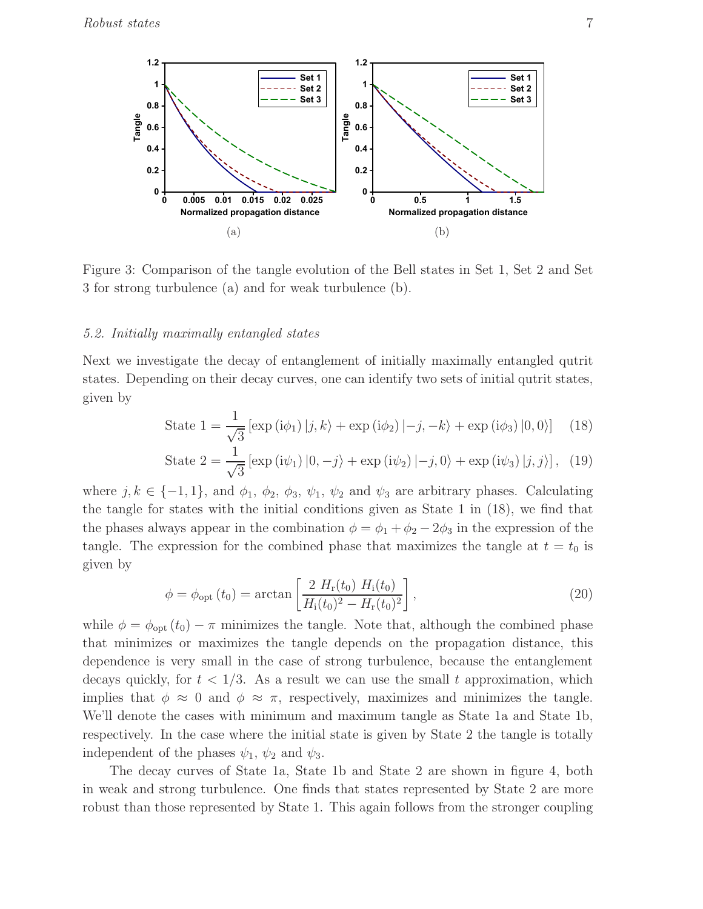

Figure 3: Comparison of the tangle evolution of the Bell states in Set 1, Set 2 and Set 3 for strong turbulence (a) and for weak turbulence (b).

## 5.2. Initially maximally entangled states

Next we investigate the decay of entanglement of initially maximally entangled qutrit states. Depending on their decay curves, one can identify two sets of initial qutrit states, given by

State 
$$
1 = \frac{1}{\sqrt{3}} [\exp(i\phi_1) | j, k\rangle + \exp(i\phi_2) | -j, -k\rangle + \exp(i\phi_3) |0, 0\rangle]
$$
 (18)

State 
$$
2 = \frac{1}{\sqrt{3}} \left[ \exp(i\psi_1) \left| 0, -j \right\rangle + \exp(i\psi_2) \left| -j, 0 \right\rangle + \exp(i\psi_3) \left| j, j \right\rangle \right], (19)
$$

where  $j, k \in \{-1, 1\}$ , and  $\phi_1, \phi_2, \phi_3, \psi_1, \psi_2$  and  $\psi_3$  are arbitrary phases. Calculating the tangle for states with the initial conditions given as State 1 in (18), we find that the phases always appear in the combination  $\phi = \phi_1 + \phi_2 - 2\phi_3$  in the expression of the tangle. The expression for the combined phase that maximizes the tangle at  $t = t_0$  is given by

$$
\phi = \phi_{\rm opt}(t_0) = \arctan\left[\frac{2 H_{\rm r}(t_0) H_{\rm i}(t_0)}{H_{\rm i}(t_0)^2 - H_{\rm r}(t_0)^2}\right],\tag{20}
$$

while  $\phi = \phi_{opt}(t_0) - \pi$  minimizes the tangle. Note that, although the combined phase that minimizes or maximizes the tangle depends on the propagation distance, this dependence is very small in the case of strong turbulence, because the entanglement decays quickly, for  $t < 1/3$ . As a result we can use the small t approximation, which implies that  $\phi \approx 0$  and  $\phi \approx \pi$ , respectively, maximizes and minimizes the tangle. We'll denote the cases with minimum and maximum tangle as State 1a and State 1b, respectively. In the case where the initial state is given by State 2 the tangle is totally independent of the phases  $\psi_1$ ,  $\psi_2$  and  $\psi_3$ .

The decay curves of State 1a, State 1b and State 2 are shown in figure 4, both in weak and strong turbulence. One finds that states represented by State 2 are more robust than those represented by State 1. This again follows from the stronger coupling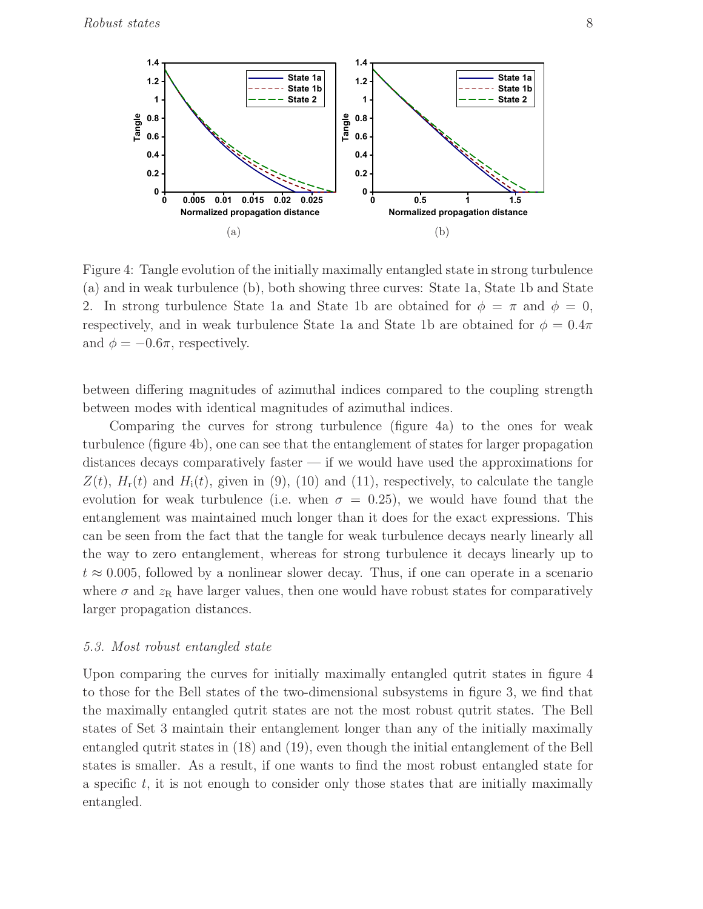

Figure 4: Tangle evolution of the initially maximally entangled state in strong turbulence (a) and in weak turbulence (b), both showing three curves: State 1a, State 1b and State 2. In strong turbulence State 1a and State 1b are obtained for  $\phi = \pi$  and  $\phi = 0$ , respectively, and in weak turbulence State 1a and State 1b are obtained for  $\phi = 0.4\pi$ and  $\phi = -0.6\pi$ , respectively.

between differing magnitudes of azimuthal indices compared to the coupling strength between modes with identical magnitudes of azimuthal indices.

Comparing the curves for strong turbulence (figure 4a) to the ones for weak turbulence (figure 4b), one can see that the entanglement of states for larger propagation distances decays comparatively faster — if we would have used the approximations for  $Z(t)$ ,  $H_r(t)$  and  $H_i(t)$ , given in (9), (10) and (11), respectively, to calculate the tangle evolution for weak turbulence (i.e. when  $\sigma = 0.25$ ), we would have found that the entanglement was maintained much longer than it does for the exact expressions. This can be seen from the fact that the tangle for weak turbulence decays nearly linearly all the way to zero entanglement, whereas for strong turbulence it decays linearly up to  $t \approx 0.005$ , followed by a nonlinear slower decay. Thus, if one can operate in a scenario where  $\sigma$  and  $z_R$  have larger values, then one would have robust states for comparatively larger propagation distances.

#### 5.3. Most robust entangled state

Upon comparing the curves for initially maximally entangled qutrit states in figure 4 to those for the Bell states of the two-dimensional subsystems in figure 3, we find that the maximally entangled qutrit states are not the most robust qutrit states. The Bell states of Set 3 maintain their entanglement longer than any of the initially maximally entangled qutrit states in (18) and (19), even though the initial entanglement of the Bell states is smaller. As a result, if one wants to find the most robust entangled state for a specific  $t$ , it is not enough to consider only those states that are initially maximally entangled.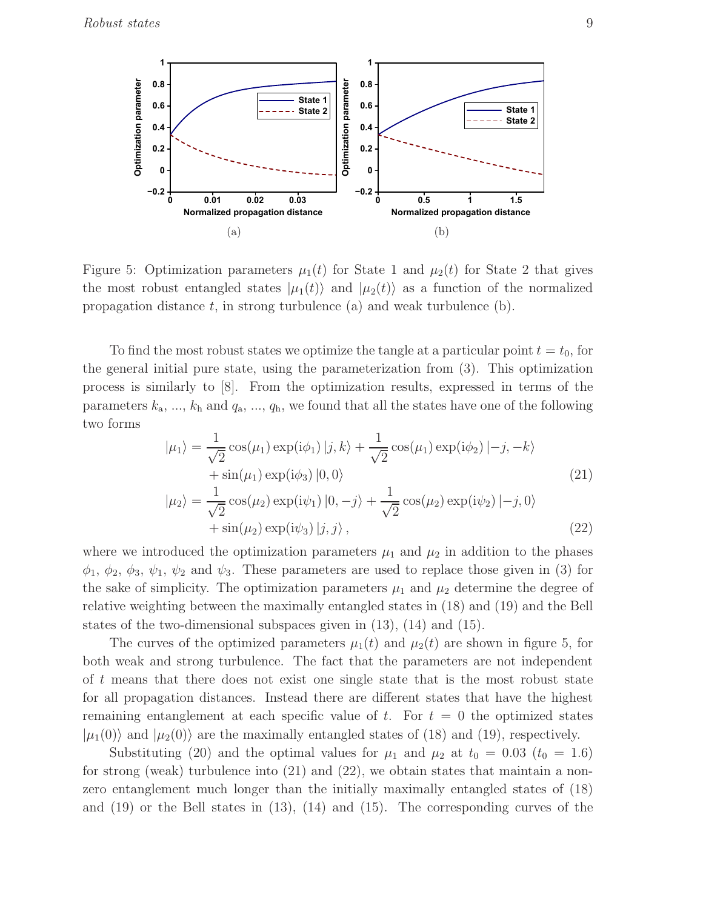

Figure 5: Optimization parameters  $\mu_1(t)$  for State 1 and  $\mu_2(t)$  for State 2 that gives the most robust entangled states  $|\mu_1(t)\rangle$  and  $|\mu_2(t)\rangle$  as a function of the normalized propagation distance  $t$ , in strong turbulence (a) and weak turbulence (b).

To find the most robust states we optimize the tangle at a particular point  $t = t_0$ , for the general initial pure state, using the parameterization from (3). This optimization process is similarly to [8]. From the optimization results, expressed in terms of the parameters  $k_a, ..., k_h$  and  $q_a, ..., q_h$ , we found that all the states have one of the following two forms

$$
|\mu_1\rangle = \frac{1}{\sqrt{2}} \cos(\mu_1) \exp(i\phi_1) |j, k\rangle + \frac{1}{\sqrt{2}} \cos(\mu_1) \exp(i\phi_2) |-j, -k\rangle
$$
  
+  $\sin(\mu_1) \exp(i\phi_3) |0, 0\rangle$  (21)  

$$
|\mu_2\rangle = \frac{1}{\sqrt{2}} \cos(\mu_2) \exp(i\psi_1) |0, -j\rangle + \frac{1}{\sqrt{2}} \cos(\mu_2) \exp(i\psi_2) |-j, 0\rangle
$$

$$
\langle u_2 \rangle = \frac{1}{\sqrt{2}} \cos(\mu_2) \exp(i\psi_1) |0, -j\rangle + \frac{1}{\sqrt{2}} \cos(\mu_2) \exp(i\psi_2) | -j, 0\rangle + \sin(\mu_2) \exp(i\psi_3) |j, j\rangle,
$$
\n(22)

where we introduced the optimization parameters  $\mu_1$  and  $\mu_2$  in addition to the phases  $\phi_1, \phi_2, \phi_3, \psi_1, \psi_2$  and  $\psi_3$ . These parameters are used to replace those given in (3) for the sake of simplicity. The optimization parameters  $\mu_1$  and  $\mu_2$  determine the degree of relative weighting between the maximally entangled states in (18) and (19) and the Bell states of the two-dimensional subspaces given in (13), (14) and (15).

The curves of the optimized parameters  $\mu_1(t)$  and  $\mu_2(t)$  are shown in figure 5, for both weak and strong turbulence. The fact that the parameters are not independent of t means that there does not exist one single state that is the most robust state for all propagation distances. Instead there are different states that have the highest remaining entanglement at each specific value of t. For  $t = 0$  the optimized states  $|\mu_1(0)\rangle$  and  $|\mu_2(0)\rangle$  are the maximally entangled states of (18) and (19), respectively.

Substituting (20) and the optimal values for  $\mu_1$  and  $\mu_2$  at  $t_0 = 0.03$  ( $t_0 = 1.6$ ) for strong (weak) turbulence into (21) and (22), we obtain states that maintain a nonzero entanglement much longer than the initially maximally entangled states of (18) and  $(19)$  or the Bell states in  $(13)$ ,  $(14)$  and  $(15)$ . The corresponding curves of the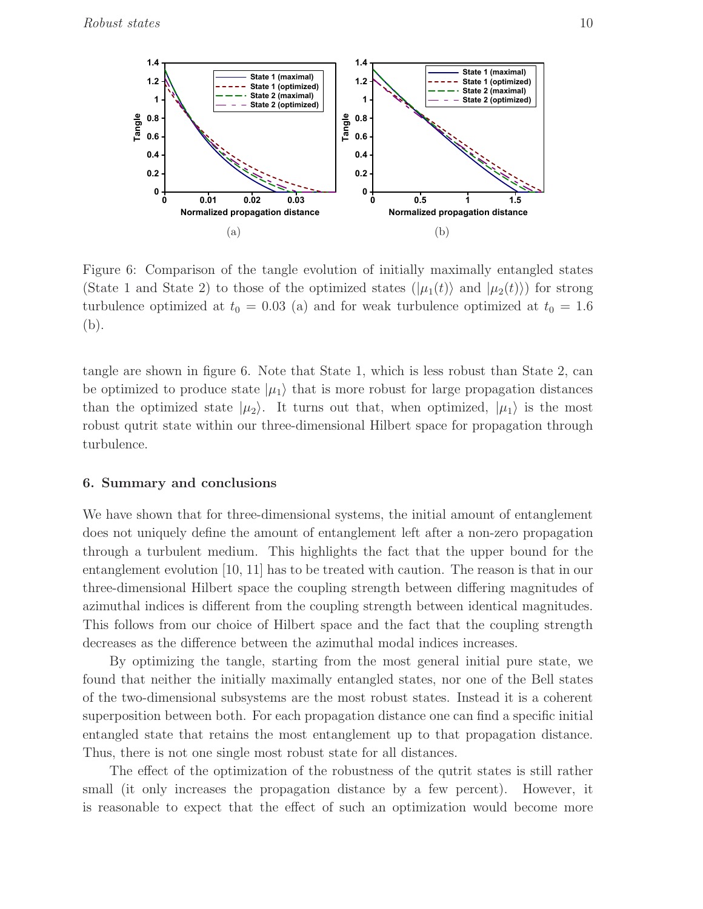

Figure 6: Comparison of the tangle evolution of initially maximally entangled states (State 1 and State 2) to those of the optimized states  $(|\mu_1(t)\rangle$  and  $|\mu_2(t)\rangle$  for strong turbulence optimized at  $t_0 = 0.03$  (a) and for weak turbulence optimized at  $t_0 = 1.6$ (b).

tangle are shown in figure 6. Note that State 1, which is less robust than State 2, can be optimized to produce state  $|\mu_1\rangle$  that is more robust for large propagation distances than the optimized state  $|\mu_2\rangle$ . It turns out that, when optimized,  $|\mu_1\rangle$  is the most robust qutrit state within our three-dimensional Hilbert space for propagation through turbulence.

#### 6. Summary and conclusions

We have shown that for three-dimensional systems, the initial amount of entanglement does not uniquely define the amount of entanglement left after a non-zero propagation through a turbulent medium. This highlights the fact that the upper bound for the entanglement evolution [10, 11] has to be treated with caution. The reason is that in our three-dimensional Hilbert space the coupling strength between differing magnitudes of azimuthal indices is different from the coupling strength between identical magnitudes. This follows from our choice of Hilbert space and the fact that the coupling strength decreases as the difference between the azimuthal modal indices increases.

By optimizing the tangle, starting from the most general initial pure state, we found that neither the initially maximally entangled states, nor one of the Bell states of the two-dimensional subsystems are the most robust states. Instead it is a coherent superposition between both. For each propagation distance one can find a specific initial entangled state that retains the most entanglement up to that propagation distance. Thus, there is not one single most robust state for all distances.

The effect of the optimization of the robustness of the qutrit states is still rather small (it only increases the propagation distance by a few percent). However, it is reasonable to expect that the effect of such an optimization would become more